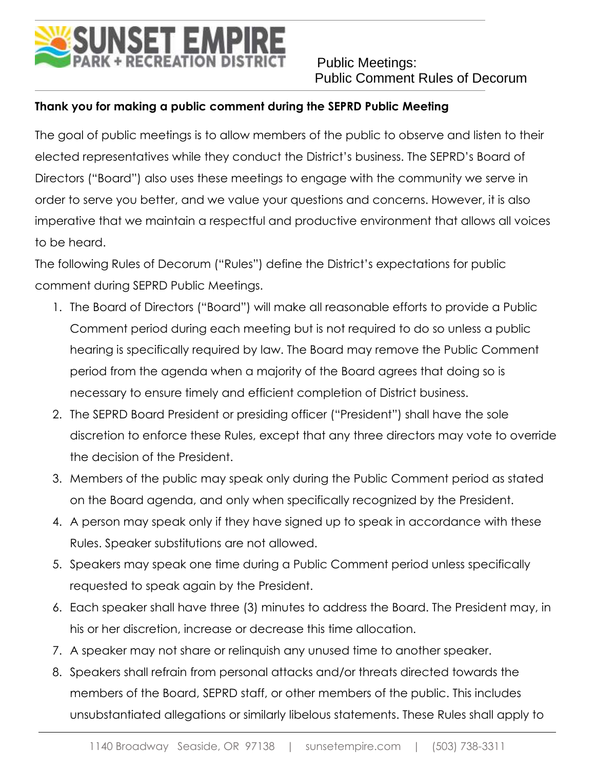## NSET EMPIRE<br>GREGREATION DISTRICT

 Public Meetings: Public Comment Rules of Decorum

## **Thank you for making a public comment during the SEPRD Public Meeting**

The goal of public meetings is to allow members of the public to observe and listen to their elected representatives while they conduct the District's business. The SEPRD's Board of Directors ("Board") also uses these meetings to engage with the community we serve in order to serve you better, and we value your questions and concerns. However, it is also imperative that we maintain a respectful and productive environment that allows all voices to be heard.

The following Rules of Decorum ("Rules") define the District's expectations for public comment during SEPRD Public Meetings.

- 1. The Board of Directors ("Board") will make all reasonable efforts to provide a Public Comment period during each meeting but is not required to do so unless a public hearing is specifically required by law. The Board may remove the Public Comment period from the agenda when a majority of the Board agrees that doing so is necessary to ensure timely and efficient completion of District business.
- 2. The SEPRD Board President or presiding officer ("President") shall have the sole discretion to enforce these Rules, except that any three directors may vote to override the decision of the President.
- 3. Members of the public may speak only during the Public Comment period as stated on the Board agenda, and only when specifically recognized by the President.
- 4. A person may speak only if they have signed up to speak in accordance with these Rules. Speaker substitutions are not allowed.
- 5. Speakers may speak one time during a Public Comment period unless specifically requested to speak again by the President.
- 6. Each speaker shall have three (3) minutes to address the Board. The President may, in his or her discretion, increase or decrease this time allocation.
- 7. A speaker may not share or relinquish any unused time to another speaker.
- 8. Speakers shall refrain from personal attacks and/or threats directed towards the members of the Board, SEPRD staff, or other members of the public. This includes unsubstantiated allegations or similarly libelous statements. These Rules shall apply to